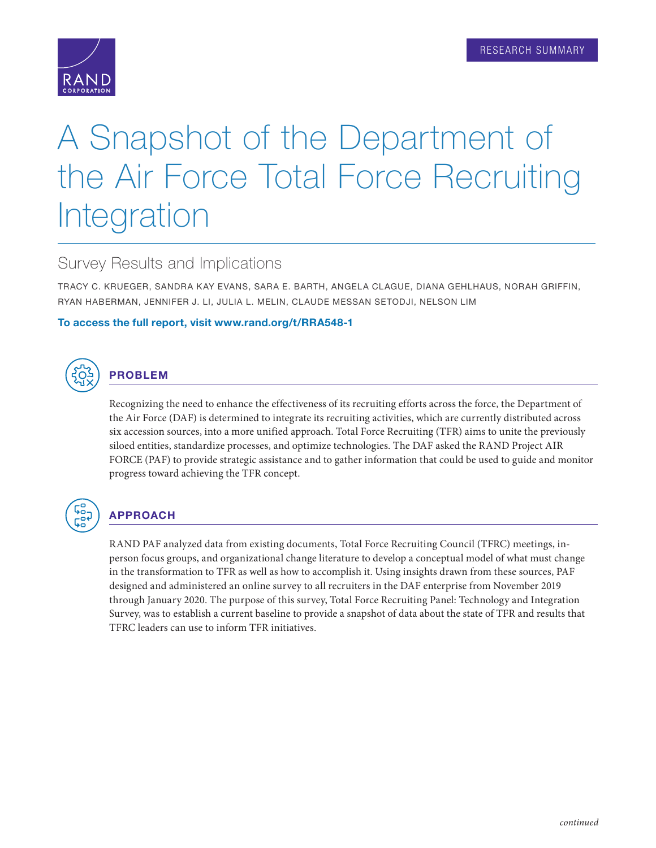# A Snapshot of the Department of the Air Force Total Force Recruiting Integration

# Survey Results and Implications

TRACY C. KRUEGER, SANDRA KAY EVANS, SARA E. BARTH, ANGELA CLAGUE, DIANA GEHLHAUS, NORAH GRIFFIN, RYAN HABERMAN, JENNIFER J. LI, JULIA L. MELIN, CLAUDE MESSAN SETODJI, NELSON LIM

## To access the full report, visit [www.rand.org/t/RRA548-1](http://www.rand.org/t/RRA548-1)



## PROBLEM

Recognizing the need to enhance the effectiveness of its recruiting efforts across the force, the Department of the Air Force (DAF) is determined to integrate its recruiting activities, which are currently distributed across six accession sources, into a more unified approach. Total Force Recruiting (TFR) aims to unite the previously siloed entities, standardize processes, and optimize technologies. The DAF asked the RAND Project AIR FORCE (PAF) to provide strategic assistance and to gather information that could be used to guide and monitor progress toward achieving the TFR concept.



## APPROACH

RAND PAF analyzed data from existing documents, Total Force Recruiting Council (TFRC) meetings, inperson focus groups, and organizational change literature to develop a conceptual model of what must change in the transformation to TFR as well as how to accomplish it. Using insights drawn from these sources, PAF designed and administered an online survey to all recruiters in the DAF enterprise from November 2019 through January 2020. The purpose of this survey, Total Force Recruiting Panel: Technology and Integration Survey, was to establish a current baseline to provide a snapshot of data about the state of TFR and results that TFRC leaders can use to inform TFR initiatives.